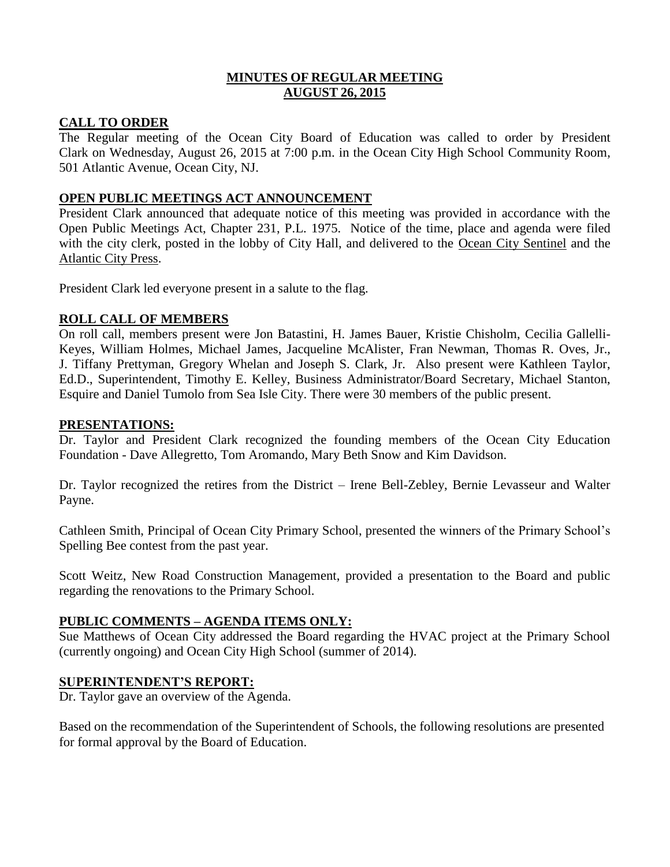# **MINUTES OF REGULAR MEETING AUGUST 26, 2015**

# **CALL TO ORDER**

The Regular meeting of the Ocean City Board of Education was called to order by President Clark on Wednesday, August 26, 2015 at 7:00 p.m. in the Ocean City High School Community Room, 501 Atlantic Avenue, Ocean City, NJ.

# **OPEN PUBLIC MEETINGS ACT ANNOUNCEMENT**

President Clark announced that adequate notice of this meeting was provided in accordance with the Open Public Meetings Act, Chapter 231, P.L. 1975. Notice of the time, place and agenda were filed with the city clerk, posted in the lobby of City Hall, and delivered to the Ocean City Sentinel and the Atlantic City Press.

President Clark led everyone present in a salute to the flag.

# **ROLL CALL OF MEMBERS**

On roll call, members present were Jon Batastini, H. James Bauer, Kristie Chisholm, Cecilia Gallelli-Keyes, William Holmes, Michael James, Jacqueline McAlister, Fran Newman, Thomas R. Oves, Jr., J. Tiffany Prettyman, Gregory Whelan and Joseph S. Clark, Jr. Also present were Kathleen Taylor, Ed.D., Superintendent, Timothy E. Kelley, Business Administrator/Board Secretary, Michael Stanton, Esquire and Daniel Tumolo from Sea Isle City. There were 30 members of the public present.

## **PRESENTATIONS:**

Dr. Taylor and President Clark recognized the founding members of the Ocean City Education Foundation - Dave Allegretto, Tom Aromando, Mary Beth Snow and Kim Davidson.

Dr. Taylor recognized the retires from the District – Irene Bell-Zebley, Bernie Levasseur and Walter Payne.

Cathleen Smith, Principal of Ocean City Primary School, presented the winners of the Primary School's Spelling Bee contest from the past year.

Scott Weitz, New Road Construction Management, provided a presentation to the Board and public regarding the renovations to the Primary School.

## **PUBLIC COMMENTS – AGENDA ITEMS ONLY:**

Sue Matthews of Ocean City addressed the Board regarding the HVAC project at the Primary School (currently ongoing) and Ocean City High School (summer of 2014).

## **SUPERINTENDENT'S REPORT:**

Dr. Taylor gave an overview of the Agenda.

Based on the recommendation of the Superintendent of Schools, the following resolutions are presented for formal approval by the Board of Education.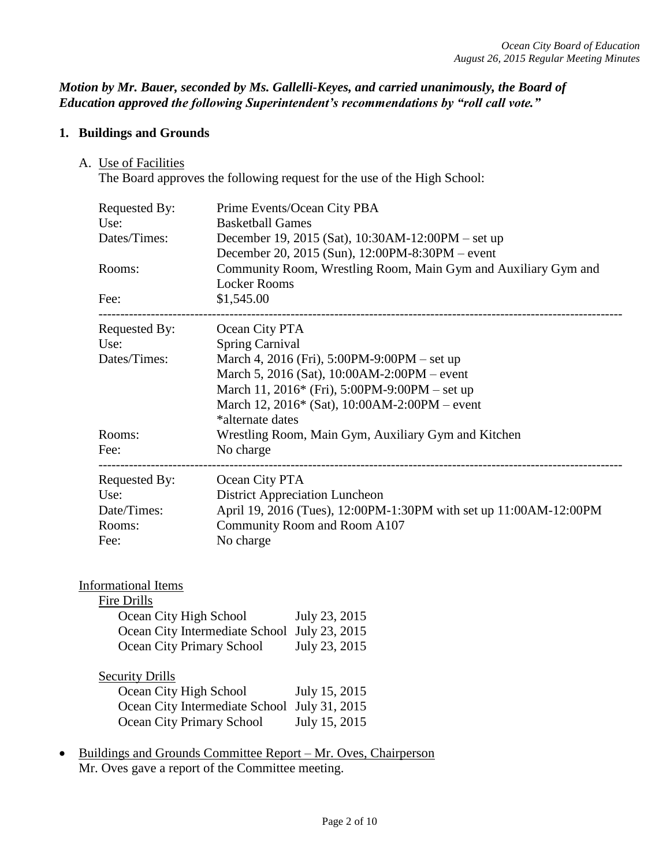## *Motion by Mr. Bauer, seconded by Ms. Gallelli-Keyes, and carried unanimously, the Board of Education approved the following Superintendent's recommendations by "roll call vote."*

# **1. Buildings and Grounds**

A. Use of Facilities

The Board approves the following request for the use of the High School:

| Requested By:<br>Use:                             | Prime Events/Ocean City PBA<br><b>Basketball Games</b>                                               |  |  |
|---------------------------------------------------|------------------------------------------------------------------------------------------------------|--|--|
| Dates/Times:                                      | December 19, 2015 (Sat), 10:30AM-12:00PM – set up<br>December 20, 2015 (Sun), 12:00PM-8:30PM – event |  |  |
| Rooms:                                            | Community Room, Wrestling Room, Main Gym and Auxiliary Gym and<br><b>Locker Rooms</b>                |  |  |
| Fee:                                              | \$1,545.00                                                                                           |  |  |
| Requested By:                                     | Ocean City PTA                                                                                       |  |  |
| Use:                                              | <b>Spring Carnival</b>                                                                               |  |  |
| Dates/Times:                                      | March 4, 2016 (Fri), 5:00PM-9:00PM – set up                                                          |  |  |
|                                                   | March 5, 2016 (Sat), 10:00AM-2:00PM – event                                                          |  |  |
|                                                   | March 11, 2016* (Fri), 5:00PM-9:00PM – set up                                                        |  |  |
|                                                   | March 12, 2016* (Sat), 10:00AM-2:00PM – event<br>*alternate dates                                    |  |  |
| Rooms:                                            | Wrestling Room, Main Gym, Auxiliary Gym and Kitchen                                                  |  |  |
| Fee:                                              | No charge                                                                                            |  |  |
|                                                   |                                                                                                      |  |  |
| Requested By:                                     | Ocean City PTA                                                                                       |  |  |
| Use:                                              | <b>District Appreciation Luncheon</b>                                                                |  |  |
| Date/Times:                                       | April 19, 2016 (Tues), 12:00PM-1:30PM with set up 11:00AM-12:00PM                                    |  |  |
| Rooms:                                            | Community Room and Room A107                                                                         |  |  |
| Fee:                                              | No charge                                                                                            |  |  |
|                                                   |                                                                                                      |  |  |
| <b>Informational Items</b>                        |                                                                                                      |  |  |
| Fire Drills                                       |                                                                                                      |  |  |
| Ocean City High School                            | July 23, 2015                                                                                        |  |  |
|                                                   | Ocean City Intermediate School July 23, 2015                                                         |  |  |
| <b>Ocean City Primary School</b><br>July 23, 2015 |                                                                                                      |  |  |
| <b>Security Drills</b>                            |                                                                                                      |  |  |
| Ocean City High School<br>July 15, 2015           |                                                                                                      |  |  |
|                                                   | Ocean City Intermediate School July 31, 2015                                                         |  |  |
| Ocean City Primary School                         | July 15, 2015                                                                                        |  |  |
|                                                   | Buildings and Grounds Committee Report - Mr. Oves, Chairperson                                       |  |  |

Mr. Oves gave a report of the Committee meeting.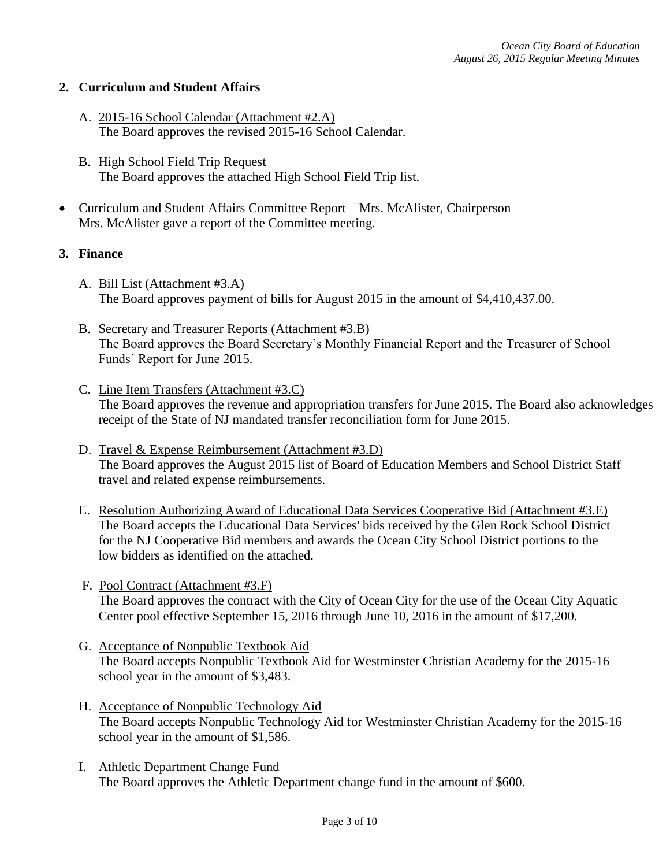## **2. Curriculum and Student Affairs**

- A. 2015-16 School Calendar (Attachment #2.A) The Board approves the revised 2015-16 School Calendar.
- B. High School Field Trip Request The Board approves the attached High School Field Trip list.
- Curriculum and Student Affairs Committee Report Mrs. McAlister, Chairperson Mrs. McAlister gave a report of the Committee meeting.

## **3. Finance**

- A. Bill List (Attachment #3.A) The Board approves payment of bills for August 2015 in the amount of \$4,410,437.00.
- B. Secretary and Treasurer Reports (Attachment #3.B) The Board approves the Board Secretary's Monthly Financial Report and the Treasurer of School Funds' Report for June 2015.
- C. Line Item Transfers (Attachment #3.C) The Board approves the revenue and appropriation transfers for June 2015. The Board also acknowledges receipt of the State of NJ mandated transfer reconciliation form for June 2015.
- D. Travel & Expense Reimbursement (Attachment #3.D) The Board approves the August 2015 list of Board of Education Members and School District Staff travel and related expense reimbursements.
- E. Resolution Authorizing Award of Educational Data Services Cooperative Bid (Attachment #3.E) The Board accepts the Educational Data Services' bids received by the Glen Rock School District for the NJ Cooperative Bid members and awards the Ocean City School District portions to the low bidders as identified on the attached.
- F. Pool Contract (Attachment #3.F) The Board approves the contract with the City of Ocean City for the use of the Ocean City Aquatic Center pool effective September 15, 2016 through June 10, 2016 in the amount of \$17,200.
- G. Acceptance of Nonpublic Textbook Aid The Board accepts Nonpublic Textbook Aid for Westminster Christian Academy for the 2015-16 school year in the amount of \$3,483.
- H. Acceptance of Nonpublic Technology Aid The Board accepts Nonpublic Technology Aid for Westminster Christian Academy for the 2015-16 school year in the amount of \$1,586.
- I. Athletic Department Change Fund The Board approves the Athletic Department change fund in the amount of \$600.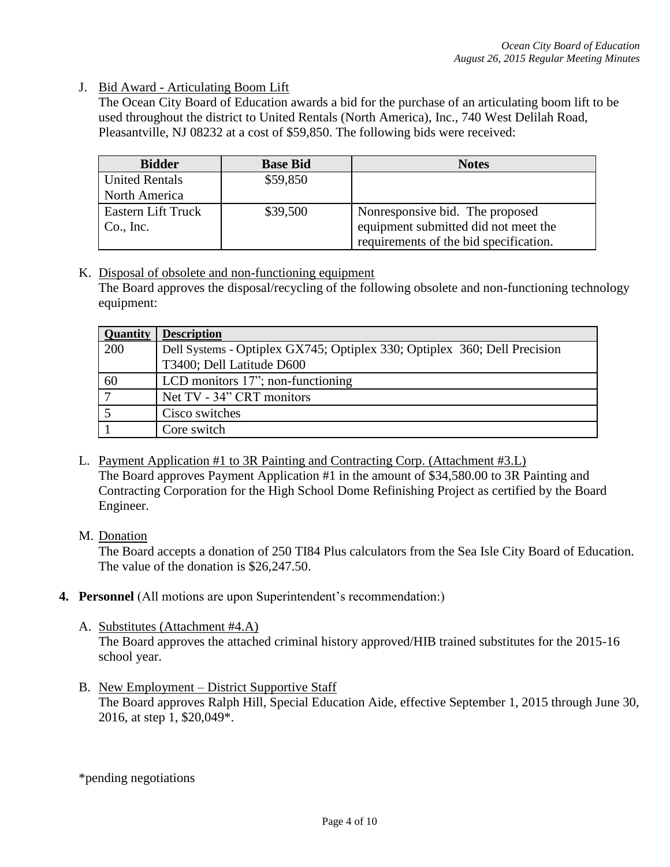J. Bid Award - Articulating Boom Lift

The Ocean City Board of Education awards a bid for the purchase of an articulating boom lift to be used throughout the district to United Rentals (North America), Inc., 740 West Delilah Road, Pleasantville, NJ 08232 at a cost of \$59,850. The following bids were received:

| <b>Bidder</b>         | <b>Base Bid</b> | <b>Notes</b>                           |
|-----------------------|-----------------|----------------------------------------|
| <b>United Rentals</b> | \$59,850        |                                        |
| North America         |                 |                                        |
| Eastern Lift Truck    | \$39,500        | Nonresponsive bid. The proposed        |
| Co., Inc.             |                 | equipment submitted did not meet the   |
|                       |                 | requirements of the bid specification. |

K. Disposal of obsolete and non-functioning equipment The Board approves the disposal/recycling of the following obsolete and non-functioning technology equipment:

| <b>Quantity</b> | <b>Description</b>                                                                                     |
|-----------------|--------------------------------------------------------------------------------------------------------|
| 200             | Dell Systems - Optiplex GX745; Optiplex 330; Optiplex 360; Dell Precision<br>T3400; Dell Latitude D600 |
| 60              | LCD monitors $17$ "; non-functioning                                                                   |
| $\overline{7}$  | Net TV - 34" CRT monitors                                                                              |
|                 | Cisco switches                                                                                         |
|                 | Core switch                                                                                            |

- L. Payment Application #1 to 3R Painting and Contracting Corp. (Attachment #3.L) The Board approves Payment Application #1 in the amount of \$34,580.00 to 3R Painting and Contracting Corporation for the High School Dome Refinishing Project as certified by the Board Engineer.
- M. Donation

The Board accepts a donation of 250 TI84 Plus calculators from the Sea Isle City Board of Education. The value of the donation is \$26,247.50.

- **4. Personnel** (All motions are upon Superintendent's recommendation:)
	- A. Substitutes (Attachment #4.A)

The Board approves the attached criminal history approved/HIB trained substitutes for the 2015-16 school year.

B. New Employment – District Supportive Staff The Board approves Ralph Hill, Special Education Aide, effective September 1, 2015 through June 30, 2016, at step 1, \$20,049\*.

\*pending negotiations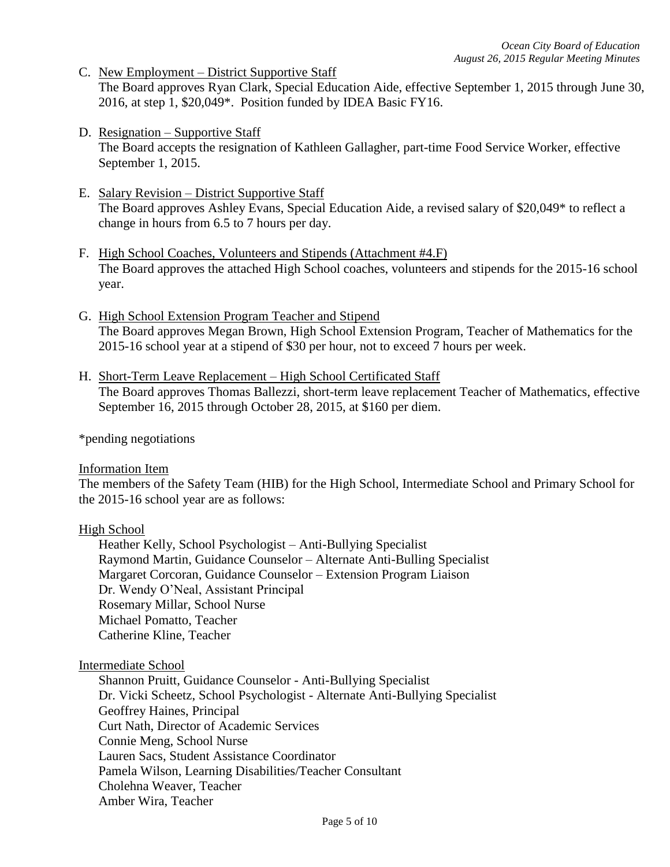- C. New Employment District Supportive Staff The Board approves Ryan Clark, Special Education Aide, effective September 1, 2015 through June 30, 2016, at step 1, \$20,049\*. Position funded by IDEA Basic FY16.
- D. Resignation Supportive Staff The Board accepts the resignation of Kathleen Gallagher, part-time Food Service Worker, effective September 1, 2015.
- E. Salary Revision District Supportive Staff The Board approves Ashley Evans, Special Education Aide, a revised salary of \$20,049\* to reflect a change in hours from 6.5 to 7 hours per day.
- F. High School Coaches, Volunteers and Stipends (Attachment #4.F) The Board approves the attached High School coaches, volunteers and stipends for the 2015-16 school year.
- G. High School Extension Program Teacher and Stipend The Board approves Megan Brown, High School Extension Program, Teacher of Mathematics for the 2015-16 school year at a stipend of \$30 per hour, not to exceed 7 hours per week.
- H. Short-Term Leave Replacement High School Certificated Staff The Board approves Thomas Ballezzi, short-term leave replacement Teacher of Mathematics, effective September 16, 2015 through October 28, 2015, at \$160 per diem.

\*pending negotiations

## Information Item

The members of the Safety Team (HIB) for the High School, Intermediate School and Primary School for the 2015-16 school year are as follows:

## High School

Heather Kelly, School Psychologist – Anti-Bullying Specialist Raymond Martin, Guidance Counselor – Alternate Anti-Bulling Specialist Margaret Corcoran, Guidance Counselor – Extension Program Liaison Dr. Wendy O'Neal, Assistant Principal Rosemary Millar, School Nurse Michael Pomatto, Teacher Catherine Kline, Teacher

## Intermediate School

Shannon Pruitt, Guidance Counselor - Anti-Bullying Specialist Dr. Vicki Scheetz, School Psychologist - Alternate Anti-Bullying Specialist Geoffrey Haines, Principal Curt Nath, Director of Academic Services Connie Meng, School Nurse Lauren Sacs, Student Assistance Coordinator Pamela Wilson, Learning Disabilities/Teacher Consultant Cholehna Weaver, Teacher Amber Wira, Teacher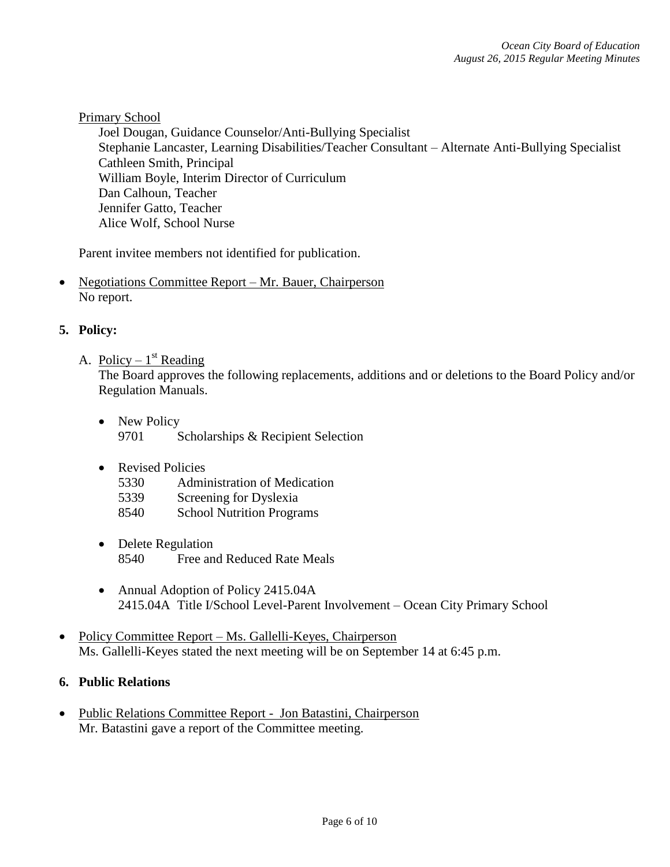## Primary School

Joel Dougan, Guidance Counselor/Anti-Bullying Specialist Stephanie Lancaster, Learning Disabilities/Teacher Consultant – Alternate Anti-Bullying Specialist Cathleen Smith, Principal William Boyle, Interim Director of Curriculum Dan Calhoun, Teacher Jennifer Gatto, Teacher Alice Wolf, School Nurse

Parent invitee members not identified for publication.

• Negotiations Committee Report – Mr. Bauer, Chairperson No report.

## **5. Policy:**

A. Policy –  $1<sup>st</sup>$  Reading

The Board approves the following replacements, additions and or deletions to the Board Policy and/or Regulation Manuals.

- New Policy 9701 Scholarships & Recipient Selection
- Revised Policies
	- 5330 Administration of Medication
	- 5339 Screening for Dyslexia
	- 8540 School Nutrition Programs
- Delete Regulation 8540 Free and Reduced Rate Meals
- Annual Adoption of Policy 2415.04A 2415.04A Title I/School Level-Parent Involvement – Ocean City Primary School
- Policy Committee Report Ms. Gallelli-Keyes, Chairperson Ms. Gallelli-Keyes stated the next meeting will be on September 14 at 6:45 p.m.

## **6. Public Relations**

• Public Relations Committee Report - Jon Batastini, Chairperson Mr. Batastini gave a report of the Committee meeting.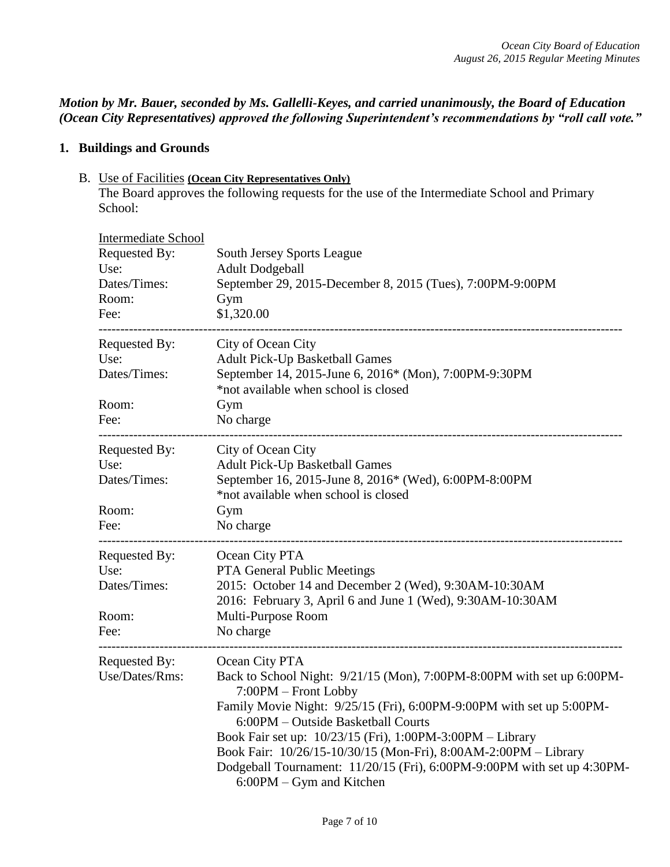*Motion by Mr. Bauer, seconded by Ms. Gallelli-Keyes, and carried unanimously, the Board of Education (Ocean City Representatives) approved the following Superintendent's recommendations by "roll call vote."* 

# **1. Buildings and Grounds**

B. Use of Facilities **(Ocean City Representatives Only)**

The Board approves the following requests for the use of the Intermediate School and Primary School:

| <b>Intermediate School</b><br>Requested By: | South Jersey Sports League                                                                                                                                                                                                                                                                                                                                                                                                                                            |
|---------------------------------------------|-----------------------------------------------------------------------------------------------------------------------------------------------------------------------------------------------------------------------------------------------------------------------------------------------------------------------------------------------------------------------------------------------------------------------------------------------------------------------|
| Use:<br>Dates/Times:<br>Room:               | <b>Adult Dodgeball</b><br>September 29, 2015-December 8, 2015 (Tues), 7:00PM-9:00PM<br>Gym                                                                                                                                                                                                                                                                                                                                                                            |
| Fee:                                        | \$1,320.00<br>----------------------------------                                                                                                                                                                                                                                                                                                                                                                                                                      |
| Requested By:<br>Use:<br>Dates/Times:       | City of Ocean City<br><b>Adult Pick-Up Basketball Games</b><br>September 14, 2015-June 6, 2016* (Mon), 7:00PM-9:30PM<br>*not available when school is closed                                                                                                                                                                                                                                                                                                          |
| Room:<br>Fee:                               | Gym<br>No charge                                                                                                                                                                                                                                                                                                                                                                                                                                                      |
| Requested By:<br>Use:<br>Dates/Times:       | City of Ocean City<br>Adult Pick-Up Basketball Games<br>September 16, 2015-June 8, 2016* (Wed), 6:00PM-8:00PM<br>*not available when school is closed                                                                                                                                                                                                                                                                                                                 |
| Room:<br>Fee:                               | Gym<br>No charge                                                                                                                                                                                                                                                                                                                                                                                                                                                      |
| Requested By:<br>Use:<br>Dates/Times:       | Ocean City PTA<br>PTA General Public Meetings<br>2015: October 14 and December 2 (Wed), 9:30AM-10:30AM<br>2016: February 3, April 6 and June 1 (Wed), 9:30AM-10:30AM                                                                                                                                                                                                                                                                                                  |
| Room:<br>Fee:                               | Multi-Purpose Room<br>No charge                                                                                                                                                                                                                                                                                                                                                                                                                                       |
| Requested By:<br>Use/Dates/Rms:             | Ocean City PTA<br>Back to School Night: 9/21/15 (Mon), 7:00PM-8:00PM with set up 6:00PM-<br>7:00PM - Front Lobby<br>Family Movie Night: 9/25/15 (Fri), 6:00PM-9:00PM with set up 5:00PM-<br>6:00PM – Outside Basketball Courts<br>Book Fair set up: 10/23/15 (Fri), 1:00PM-3:00PM - Library<br>Book Fair: 10/26/15-10/30/15 (Mon-Fri), 8:00AM-2:00PM - Library<br>Dodgeball Tournament: 11/20/15 (Fri), 6:00PM-9:00PM with set up 4:30PM-<br>6:00PM – Gym and Kitchen |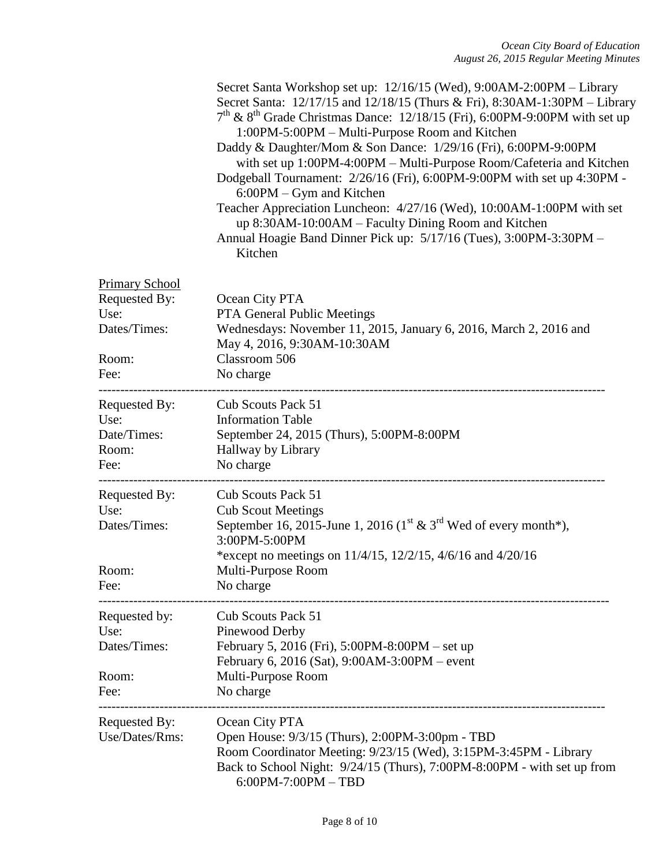|                                                                                 | Secret Santa Workshop set up: 12/16/15 (Wed), 9:00AM-2:00PM – Library<br>Secret Santa: 12/17/15 and 12/18/15 (Thurs & Fri), 8:30AM-1:30PM - Library<br>$7th$ & 8 <sup>th</sup> Grade Christmas Dance: 12/18/15 (Fri), 6:00PM-9:00PM with set up<br>1:00PM-5:00PM - Multi-Purpose Room and Kitchen<br>Daddy & Daughter/Mom & Son Dance: 1/29/16 (Fri), 6:00PM-9:00PM<br>with set up 1:00PM-4:00PM - Multi-Purpose Room/Cafeteria and Kitchen<br>Dodgeball Tournament: 2/26/16 (Fri), 6:00PM-9:00PM with set up 4:30PM -<br>6:00PM – Gym and Kitchen<br>Teacher Appreciation Luncheon: 4/27/16 (Wed), 10:00AM-1:00PM with set<br>up 8:30AM-10:00AM – Faculty Dining Room and Kitchen<br>Annual Hoagie Band Dinner Pick up: 5/17/16 (Tues), 3:00PM-3:30PM -<br>Kitchen |
|---------------------------------------------------------------------------------|---------------------------------------------------------------------------------------------------------------------------------------------------------------------------------------------------------------------------------------------------------------------------------------------------------------------------------------------------------------------------------------------------------------------------------------------------------------------------------------------------------------------------------------------------------------------------------------------------------------------------------------------------------------------------------------------------------------------------------------------------------------------|
| <b>Primary School</b><br>Requested By:<br>Use:<br>Dates/Times:<br>Room:<br>Fee: | Ocean City PTA<br><b>PTA General Public Meetings</b><br>Wednesdays: November 11, 2015, January 6, 2016, March 2, 2016 and<br>May 4, 2016, 9:30AM-10:30AM<br>Classroom 506<br>No charge                                                                                                                                                                                                                                                                                                                                                                                                                                                                                                                                                                              |
| Requested By:<br>Use:<br>Date/Times:<br>Room:<br>Fee:                           | Cub Scouts Pack 51<br><b>Information Table</b><br>September 24, 2015 (Thurs), 5:00PM-8:00PM<br>Hallway by Library<br>No charge                                                                                                                                                                                                                                                                                                                                                                                                                                                                                                                                                                                                                                      |
| Requested By:<br>Use:<br>Dates/Times:<br>Room:<br>Fee:                          | Cub Scouts Pack 51<br><b>Cub Scout Meetings</b><br>September 16, 2015-June 1, 2016 ( $1^{\text{st}}$ & $3^{\text{rd}}$ Wed of every month*),<br>3:00PM-5:00PM<br>*except no meetings on $11/4/15$ , $12/2/15$ , $4/6/16$ and $4/20/16$<br>Multi-Purpose Room<br>No charge                                                                                                                                                                                                                                                                                                                                                                                                                                                                                           |
| Requested by:<br>Use:<br>Dates/Times:<br>Room:<br>Fee:                          | Cub Scouts Pack 51<br>Pinewood Derby<br>February 5, 2016 (Fri), 5:00PM-8:00PM – set up<br>February 6, 2016 (Sat), 9:00AM-3:00PM – event<br>Multi-Purpose Room<br>No charge                                                                                                                                                                                                                                                                                                                                                                                                                                                                                                                                                                                          |
| Requested By:<br>Use/Dates/Rms:                                                 | Ocean City PTA<br>Open House: 9/3/15 (Thurs), 2:00PM-3:00pm - TBD<br>Room Coordinator Meeting: 9/23/15 (Wed), 3:15PM-3:45PM - Library<br>Back to School Night: 9/24/15 (Thurs), 7:00PM-8:00PM - with set up from<br>$6:00PM - 7:00PM - TBD$                                                                                                                                                                                                                                                                                                                                                                                                                                                                                                                         |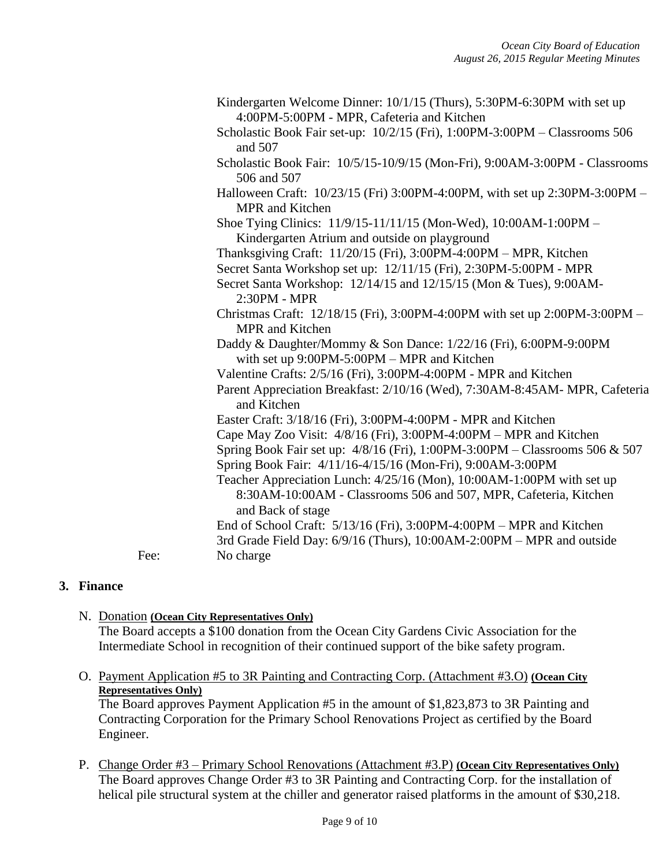Kindergarten Welcome Dinner: 10/1/15 (Thurs), 5:30PM-6:30PM with set up 4:00PM-5:00PM - MPR, Cafeteria and Kitchen Scholastic Book Fair set-up: 10/2/15 (Fri), 1:00PM-3:00PM – Classrooms 506 and 507 Scholastic Book Fair: 10/5/15-10/9/15 (Mon-Fri), 9:00AM-3:00PM - Classrooms 506 and 507 Halloween Craft: 10/23/15 (Fri) 3:00PM-4:00PM, with set up 2:30PM-3:00PM – MPR and Kitchen Shoe Tying Clinics: 11/9/15-11/11/15 (Mon-Wed), 10:00AM-1:00PM – Kindergarten Atrium and outside on playground Thanksgiving Craft: 11/20/15 (Fri), 3:00PM-4:00PM – MPR, Kitchen Secret Santa Workshop set up: 12/11/15 (Fri), 2:30PM-5:00PM - MPR Secret Santa Workshop: 12/14/15 and 12/15/15 (Mon & Tues), 9:00AM-2:30PM - MPR Christmas Craft: 12/18/15 (Fri), 3:00PM-4:00PM with set up 2:00PM-3:00PM – MPR and Kitchen Daddy & Daughter/Mommy & Son Dance: 1/22/16 (Fri), 6:00PM-9:00PM with set up 9:00PM-5:00PM – MPR and Kitchen Valentine Crafts: 2/5/16 (Fri), 3:00PM-4:00PM - MPR and Kitchen Parent Appreciation Breakfast: 2/10/16 (Wed), 7:30AM-8:45AM- MPR, Cafeteria and Kitchen Easter Craft: 3/18/16 (Fri), 3:00PM-4:00PM - MPR and Kitchen Cape May Zoo Visit: 4/8/16 (Fri), 3:00PM-4:00PM – MPR and Kitchen Spring Book Fair set up: 4/8/16 (Fri), 1:00PM-3:00PM – Classrooms 506 & 507 Spring Book Fair: 4/11/16-4/15/16 (Mon-Fri), 9:00AM-3:00PM Teacher Appreciation Lunch: 4/25/16 (Mon), 10:00AM-1:00PM with set up 8:30AM-10:00AM - Classrooms 506 and 507, MPR, Cafeteria, Kitchen and Back of stage End of School Craft: 5/13/16 (Fri), 3:00PM-4:00PM – MPR and Kitchen 3rd Grade Field Day: 6/9/16 (Thurs), 10:00AM-2:00PM – MPR and outside Fee: No charge

## **3. Finance**

N. Donation **(Ocean City Representatives Only)**

The Board accepts a \$100 donation from the Ocean City Gardens Civic Association for the Intermediate School in recognition of their continued support of the bike safety program.

O. Payment Application #5 to 3R Painting and Contracting Corp. (Attachment #3.O) **(Ocean City Representatives Only)** 

The Board approves Payment Application #5 in the amount of \$1,823,873 to 3R Painting and Contracting Corporation for the Primary School Renovations Project as certified by the Board Engineer.

P. Change Order #3 – Primary School Renovations (Attachment #3.P) **(Ocean City Representatives Only)** The Board approves Change Order #3 to 3R Painting and Contracting Corp. for the installation of helical pile structural system at the chiller and generator raised platforms in the amount of \$30,218.